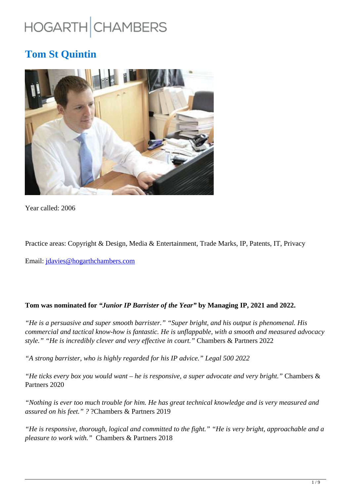# HOGARTH CHAMBERS

# **Tom St Quintin**



Year called: 2006

Practice areas: Copyright & Design, Media & Entertainment, Trade Marks, IP, Patents, IT, Privacy

Email: jdavies@hogarthchambers.com

#### **Tom was nominated for** *"Junior IP Barrister of the Year"* **by Managing IP, 2021 and 2022.**

*"He is a persuasive and super smooth barrister." "Super bright, and his output is phenomenal. His commercial and tactical know-how is fantastic. He is unflappable, with a smooth and measured advocacy style." "He is incredibly clever and very effective in court."* Chambers & Partners 2022

*"A strong barrister, who is highly regarded for his IP advice." Legal 500 2022*

*"He ticks every box you would want – he is responsive, a super advocate and very bright."* Chambers & Partners 2020

*"Nothing is ever too much trouble for him. He has great technical knowledge and is very measured and assured on his feet." ?* ?Chambers & Partners 2019

*"He is responsive, thorough, logical and committed to the fight." "He is very bright, approachable and a pleasure to work with."* Chambers & Partners 2018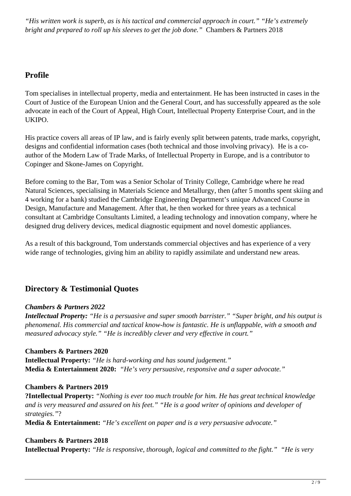*"His written work is superb, as is his tactical and commercial approach in court." "He's extremely bright and prepared to roll up his sleeves to get the job done."* Chambers & Partners 2018

# **Profile**

Tom specialises in intellectual property, media and entertainment. He has been instructed in cases in the Court of Justice of the European Union and the General Court, and has successfully appeared as the sole advocate in each of the Court of Appeal, High Court, Intellectual Property Enterprise Court, and in the UKIPO.

His practice covers all areas of IP law, and is fairly evenly split between patents, trade marks, copyright, designs and confidential information cases (both technical and those involving privacy). He is a coauthor of the Modern Law of Trade Marks, of Intellectual Property in Europe, and is a contributor to Copinger and Skone-James on Copyright.

Before coming to the Bar, Tom was a Senior Scholar of Trinity College, Cambridge where he read Natural Sciences, specialising in Materials Science and Metallurgy, then (after 5 months spent skiing and 4 working for a bank) studied the Cambridge Engineering Department's unique Advanced Course in Design, Manufacture and Management. After that, he then worked for three years as a technical consultant at Cambridge Consultants Limited, a leading technology and innovation company, where he designed drug delivery devices, medical diagnostic equipment and novel domestic appliances.

As a result of this background, Tom understands commercial objectives and has experience of a very wide range of technologies, giving him an ability to rapidly assimilate and understand new areas.

# **Directory & Testimonial Quotes**

# *Chambers & Partners 2022*

*Intellectual Property: "He is a persuasive and super smooth barrister." "Super bright, and his output is phenomenal. His commercial and tactical know-how is fantastic. He is unflappable, with a smooth and measured advocacy style." "He is incredibly clever and very effective in court."*

# **Chambers & Partners 2020**

**Intellectual Property:** *"He is hard-working and has sound judgement."* **Media & Entertainment 2020:** *"He's very persuasive, responsive and a super advocate."*

#### **Chambers & Partners 2019**

**?Intellectual Property:** *"Nothing is ever too much trouble for him. He has great technical knowledge and is very measured and assured on his feet." "He is a good writer of opinions and developer of strategies."*?

**Media & Entertainment:** *"He's excellent on paper and is a very persuasive advocate."*

#### **Chambers & Partners 2018**

**Intellectual Property:** *"He is responsive, thorough, logical and committed to the fight." "He is very*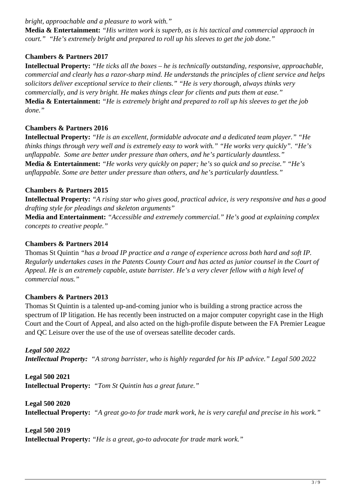*bright, approachable and a pleasure to work with."*

**Media & Entertainment:** *"His written work is superb, as is his tactical and commercial appraoch in court." "He's extremely bright and prepared to roll up his sleeves to get the job done."*

# **Chambers & Partners 2017**

**Intellectual Property:** *"He ticks all the boxes – he is technically outstanding, responsive, approachable, commercial and clearly has a razor-sharp mind. He understands the principles of client service and helps solicitors deliver exceptional service to their clients." "He is very thorough, always thinks very commercially, and is very bright. He makes things clear for clients and puts them at ease."* **Media & Entertainment:** *"He is extremely bright and prepared to roll up his sleeves to get the job done."*

#### **Chambers & Partners 2016**

**Intellectual Property:** *"He is an excellent, formidable advocate and a dedicated team player." "He thinks things through very well and is extremely easy to work with." "He works very quickly". "He's unflappable. Some are better under pressure than others, and he's particularly dauntless."* **Media & Entertainment:** *"He works very quickly on paper; he's so quick and so precise." "He's unflappable. Some are better under pressure than others, and he's particularly dauntless."*

#### **Chambers & Partners 2015**

**Intellectual Property:** *"A rising star who gives good, practical advice, is very responsive and has a good drafting style for pleadings and skeleton arguments"*

**Media and Entertainment:** *"Accessible and extremely commercial." He's good at explaining complex concepts to creative people."*

#### **Chambers & Partners 2014**

Thomas St Quintin *"has a broad IP practice and a range of experience across both hard and soft IP. Regularly undertakes cases in the Patents County Court and has acted as junior counsel in the Court of Appeal. He is an extremely capable, astute barrister. He's a very clever fellow with a high level of commercial nous."* 

#### **Chambers & Partners 2013**

Thomas St Quintin is a talented up-and-coming junior who is building a strong practice across the spectrum of IP litigation. He has recently been instructed on a major computer copyright case in the High Court and the Court of Appeal, and also acted on the high-profile dispute between the FA Premier League and QC Leisure over the use of the use of overseas satellite decoder cards.

*Legal 500 2022 Intellectual Property: "A strong barrister, who is highly regarded for his IP advice." Legal 500 2022*

**Legal 500 2021 Intellectual Property:** *"Tom St Quintin has a great future."*

**Legal 500 2020 Intellectual Property:** *"A great go-to for trade mark work, he is very careful and precise in his work."*

**Legal 500 2019 Intellectual Property:** *"He is a great, go-to advocate for trade mark work."*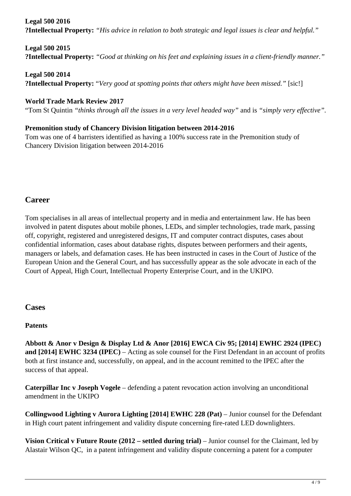#### **Legal 500 2016**

**?Intellectual Property:** *"His advice in relation to both strategic and legal issues is clear and helpful."*

**Legal 500 2015 ?Intellectual Property:** *"Good at thinking on his feet and explaining issues in a client-friendly manner."*

**Legal 500 2014 ?Intellectual Property:** "*Very good at spotting points that others might have been missed."* [sic!]

# **World Trade Mark Review 2017**

"Tom St Quintin *"thinks through all the issues in a very level headed way"* and is *"simply very effective".*

#### **Premonition study of Chancery Division litigation between 2014-2016**

Tom was one of 4 barristers identified as having a 100% success rate in the Premonition study of Chancery Division litigation between 2014-2016

# **Career**

Tom specialises in all areas of intellectual property and in media and entertainment law. He has been involved in patent disputes about mobile phones, LEDs, and simpler technologies, trade mark, passing off, copyright, registered and unregistered designs, IT and computer contract disputes, cases about confidential information, cases about database rights, disputes between performers and their agents, managers or labels, and defamation cases. He has been instructed in cases in the Court of Justice of the European Union and the General Court, and has successfully appear as the sole advocate in each of the Court of Appeal, High Court, Intellectual Property Enterprise Court, and in the UKIPO.

# **Cases**

# **Patents**

**Abbott & Anor v Design & Display Ltd & Anor [2016] EWCA Civ 95; [2014] EWHC 2924 (IPEC) and [2014] EWHC 3234 (IPEC)** – Acting as sole counsel for the First Defendant in an account of profits both at first instance and, successfully, on appeal, and in the account remitted to the IPEC after the success of that appeal.

**Caterpillar Inc v Joseph Vogele** – defending a patent revocation action involving an unconditional amendment in the UKIPO

**Collingwood Lighting v Aurora Lighting [2014] EWHC 228 (Pat) – Junior counsel for the Defendant** in High court patent infringement and validity dispute concerning fire-rated LED downlighters.

**Vision Critical v Future Route (2012 – settled during trial) – Junior counsel for the Claimant, led by** Alastair Wilson QC, in a patent infringement and validity dispute concerning a patent for a computer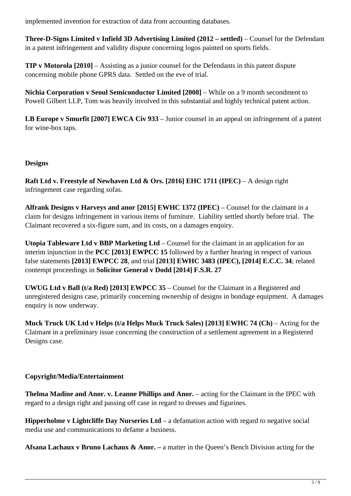implemented invention for extraction of data from accounting databases.

**Three-D-Signs Limited v Infield 3D Advertising Limited (2012 – settled)** – Counsel for the Defendant in a patent infringement and validity dispute concerning logos painted on sports fields.

**TIP v Motorola [2010]** – Assisting as a junior counsel for the Defendants in this patent dispute concerning mobile phone GPRS data. Settled on the eve of trial.

**Nichia Corporation v Seoul Semiconductor Limited [2008]** – While on a 9 month secondment to Powell Gilbert LLP, Tom was heavily involved in this substantial and highly technical patent action.

**LB Europe v Smurfit [2007] EWCA Civ 933** – Junior counsel in an appeal on infringement of a patent for wine-box taps.

#### **Designs**

**Raft Ltd v. Freestyle of Newhaven Ltd & Ors. [2016] EHC 1711 (IPEC)** – A design right infringement case regarding sofas.

**Alfrank Designs v Harveys and anor [2015] EWHC 1372 (IPEC)** – Counsel for the claimant in a claim for designs infringement in various items of furniture. Liability settled shortly before trial. The Claimant recovered a six-figure sum, and its costs, on a damages enquiry.

**Utopia Tableware Ltd v BBP Marketing Ltd** – Counsel for the claimant in an application for an interim injunction in the **PCC [2013] EWPCC 15** followed by a further hearing in respect of various false statements **[2013] EWPCC 28**, and trial **[2013] EWHC 3483 (IPEC), [2014] E.C.C. 34**; related contempt proceedings in **Solicitor General v Dodd [2014] F.S.R. 27**

**UWUG Ltd v Ball (t/a Red) [2013] EWPCC 35** – Counsel for the Claimant in a Registered and unregistered designs case, primarily concerning ownership of designs in bondage equipment. A damages enquiry is now underway.

**Muck Truck UK Ltd v Helps (t/a Helps Muck Truck Sales) [2013] EWHC 74 (Ch)** – Acting for the Claimant in a preliminary issue concerning the construction of a settlement agreement in a Registered Designs case.

# **Copyright/Media/Entertainment**

**Thelma Madine and Anor. v. Leanne Phillips and Anor.** – acting for the Claimant in the IPEC with regard to a design right and passing off case in regard to dresses and figurines.

**Hipperholme v Lightcliffe Day Nurseries Ltd** – a defamation action with regard to negative social media use and communications to defame a business.

Afsana Lachaux v Bruno Lachaux & Anor. – a matter in the Queen's Bench Division acting for the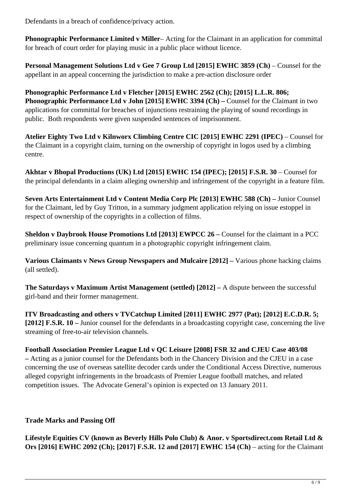Defendants in a breach of confidence/privacy action.

**Phonographic Performance Limited v Miller**– Acting for the Claimant in an application for committal for breach of court order for playing music in a public place without licence.

Personal Management Solutions Ltd v Gee 7 Group Ltd [2015] EWHC 3859 (Ch) – Counsel for the appellant in an appeal concerning the jurisdiction to make a pre-action disclosure order

**Phonographic Performance Ltd v Fletcher [2015] EWHC 2562 (Ch); [2015] L.L.R. 806; Phonographic Performance Ltd v John [2015] EWHC 3394 (Ch) – Counsel for the Claimant in two** applications for committal for breaches of injunctions restraining the playing of sound recordings in public. Both respondents were given suspended sentences of imprisonment.

**Atelier Eighty Two Ltd v Kilnworx Climbing Centre CIC [2015] EWHC 2291 (IPEC)** – Counsel for the Claimant in a copyright claim, turning on the ownership of copyright in logos used by a climbing centre.

**Akhtar v Bhopal Productions (UK) Ltd [2015] EWHC 154 (IPEC); [2015] F.S.R. 30** – Counsel for the principal defendants in a claim alleging ownership and infringement of the copyright in a feature film.

**Seven Arts Entertainment Ltd v Content Media Corp Plc [2013] EWHC 588 (Ch) – Junior Counsel** for the Claimant, led by Guy Tritton, in a summary judgment application relying on issue estoppel in respect of ownership of the copyrights in a collection of films.

**Sheldon v Daybrook House Promotions Ltd [2013] EWPCC 26 – Counsel for the claimant in a PCC** preliminary issue concerning quantum in a photographic copyright infringement claim.

**Various Claimants v News Group Newspapers and Mulcaire [2012] – Various phone hacking claims** (all settled).

**The Saturdays v Maximum Artist Management (settled) [2012] –** A dispute between the successful girl-band and their former management.

**ITV Broadcasting and others v TVCatchup Limited [2011] EWHC 2977 (Pat); [2012] E.C.D.R. 5; [2012] F.S.R. 10 –** Junior counsel for the defendants in a broadcasting copyright case, concerning the live streaming of free-to-air television channels.

**Football Association Premier League Ltd v QC Leisure [2008] FSR 32 and CJEU Case 403/08 –** Acting as a junior counsel for the Defendants both in the Chancery Division and the CJEU in a case concerning the use of overseas satellite decoder cards under the Conditional Access Directive, numerous alleged copyright infringements in the broadcasts of Premier League football matches, and related competition issues. The Advocate General's opinion is expected on 13 January 2011.

# **Trade Marks and Passing Off**

**Lifestyle Equities CV (known as Beverly Hills Polo Club) & Anor. v Sportsdirect.com Retail Ltd & Ors [2016] EWHC 2092 (Ch); [2017] F.S.R. 12 and [2017] EWHC 154 (Ch)** – acting for the Claimant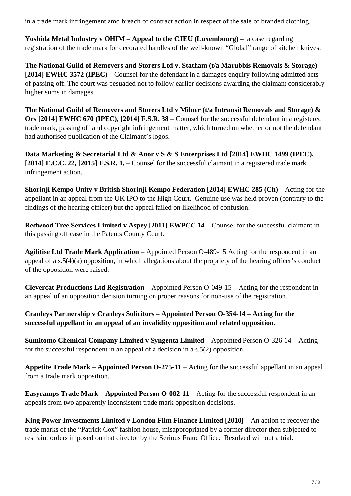in a trade mark infringement amd breach of contract action in respect of the sale of branded clothing.

**Yoshida Metal Industry v OHIM – Appeal to the CJEU (Luxembourg) –** a case regarding registration of the trade mark for decorated handles of the well-known "Global" range of kitchen knives.

**The National Guild of Removers and Storers Ltd v. Statham (t/a Marubbis Removals & Storage) [2014] EWHC 3572 (IPEC)** – Counsel for the defendant in a damages enquiry following admitted acts of passing off. The court was pesuaded not to follow earlier decisions awarding the claimant considerably higher sums in damages.

**The National Guild of Removers and Storers Ltd v Milner (t/a Intransit Removals and Storage) & Ors [2014] EWHC 670 (IPEC), [2014] F.S.R. 38** – Counsel for the successful defendant in a registered trade mark, passing off and copyright infringement matter, which turned on whether or not the defendant had authorised publication of the Claimant's logos.

**Data Marketing & Secretarial Ltd & Anor v S & S Enterprises Ltd [2014] EWHC 1499 (IPEC), [2014] E.C.C. 22, [2015] F.S.R. 1,** – Counsel for the successful claimant in a registered trade mark infringement action.

**Shorinji Kempo Unity v British Shorinji Kempo Federation [2014] EWHC 285 (Ch)** – Acting for the appellant in an appeal from the UK IPO to the High Court. Genuine use was held proven (contrary to the findings of the hearing officer) but the appeal failed on likelihood of confusion.

**Redwood Tree Services Limited v Aspey [2011] EWPCC 14** – Counsel for the successful claimant in this passing off case in the Patents County Court.

**Agilitise Ltd Trade Mark Application** – Appointed Person O-489-15 Acting for the respondent in an appeal of a s.5(4)(a) opposition, in which allegations about the propriety of the hearing officer's conduct of the opposition were raised.

**Clevercat Productions Ltd Registration** – Appointed Person O-049-15 – Acting for the respondent in an appeal of an opposition decision turning on proper reasons for non-use of the registration.

**Cranleys Partnership v Cranleys Solicitors – Appointed Person O-354-14 – Acting for the successful appellant in an appeal of an invalidity opposition and related opposition.**

**Sumitomo Chemical Company Limited v Syngenta Limited** – Appointed Person O-326-14 – Acting for the successful respondent in an appeal of a decision in a s.5(2) opposition.

**Appetite Trade Mark – Appointed Person O-275-11** – Acting for the successful appellant in an appeal from a trade mark opposition.

**Easyramps Trade Mark – Appointed Person O-082-11** – Acting for the successful respondent in an appeals from two apparently inconsistent trade mark opposition decisions.

**King Power Investments Limited v London Film Finance Limited [2010]** – An action to recover the trade marks of the "Patrick Cox" fashion house, misappropriated by a former director then subjected to restraint orders imposed on that director by the Serious Fraud Office. Resolved without a trial.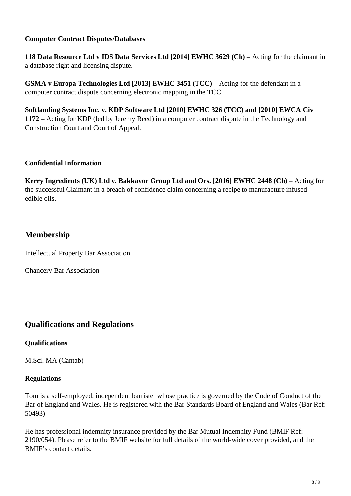#### **Computer Contract Disputes/Databases**

**118 Data Resource Ltd v IDS Data Services Ltd [2014] EWHC 3629 (Ch) –** Acting for the claimant in a database right and licensing dispute.

**GSMA v Europa Technologies Ltd [2013] EWHC 3451 (TCC) – Acting for the defendant in a** computer contract dispute concerning electronic mapping in the TCC.

**Softlanding Systems Inc. v. KDP Software Ltd [2010] EWHC 326 (TCC) and [2010] EWCA Civ 1172 –** Acting for KDP (led by Jeremy Reed) in a computer contract dispute in the Technology and Construction Court and Court of Appeal.

#### **Confidential Information**

Kerry Ingredients (UK) Ltd v. Bakkavor Group Ltd and Ors. [2016] EWHC 2448 (Ch) – Acting for the successful Claimant in a breach of confidence claim concerning a recipe to manufacture infused edible oils.

# **Membership**

Intellectual Property Bar Association

Chancery Bar Association

# **Qualifications and Regulations**

#### **Qualifications**

M.Sci. MA (Cantab)

#### **Regulations**

Tom is a self-employed, independent barrister whose practice is governed by the Code of Conduct of the Bar of England and Wales. He is registered with the Bar Standards Board of England and Wales (Bar Ref: 50493)

He has professional indemnity insurance provided by the Bar Mutual Indemnity Fund (BMIF Ref: 2190/054). Please refer to the BMIF website for full details of the world-wide cover provided, and the BMIF's contact details.